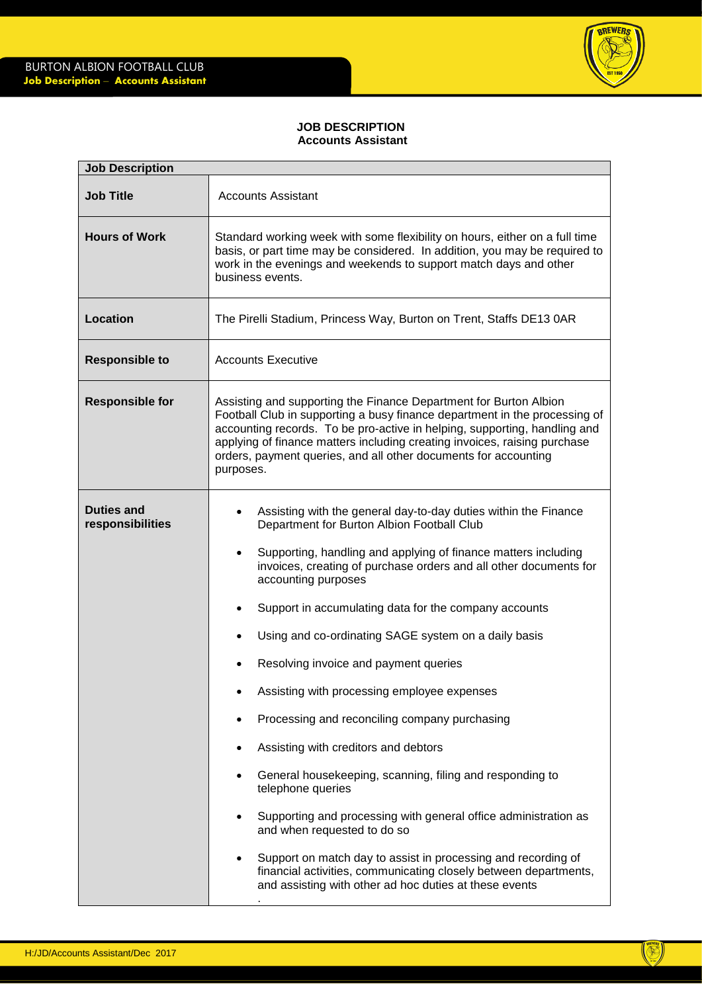

## **JOB DESCRIPTION Accounts Assistant**

| <b>Job Description</b>                |                                                                                                                                                                                                                                                                                                                                                                                                                                                                                                   |  |
|---------------------------------------|---------------------------------------------------------------------------------------------------------------------------------------------------------------------------------------------------------------------------------------------------------------------------------------------------------------------------------------------------------------------------------------------------------------------------------------------------------------------------------------------------|--|
| <b>Job Title</b>                      | <b>Accounts Assistant</b>                                                                                                                                                                                                                                                                                                                                                                                                                                                                         |  |
| <b>Hours of Work</b>                  | Standard working week with some flexibility on hours, either on a full time<br>basis, or part time may be considered. In addition, you may be required to<br>work in the evenings and weekends to support match days and other<br>business events.                                                                                                                                                                                                                                                |  |
| <b>Location</b>                       | The Pirelli Stadium, Princess Way, Burton on Trent, Staffs DE13 0AR                                                                                                                                                                                                                                                                                                                                                                                                                               |  |
| <b>Responsible to</b>                 | <b>Accounts Executive</b>                                                                                                                                                                                                                                                                                                                                                                                                                                                                         |  |
| <b>Responsible for</b>                | Assisting and supporting the Finance Department for Burton Albion<br>Football Club in supporting a busy finance department in the processing of<br>accounting records. To be pro-active in helping, supporting, handling and<br>applying of finance matters including creating invoices, raising purchase<br>orders, payment queries, and all other documents for accounting<br>purposes.                                                                                                         |  |
| <b>Duties and</b><br>responsibilities | Assisting with the general day-to-day duties within the Finance<br>Department for Burton Albion Football Club<br>Supporting, handling and applying of finance matters including<br>$\bullet$<br>invoices, creating of purchase orders and all other documents for<br>accounting purposes<br>Support in accumulating data for the company accounts<br>Using and co-ordinating SAGE system on a daily basis<br>Resolving invoice and payment queries<br>Assisting with processing employee expenses |  |
|                                       | Processing and reconciling company purchasing<br>Assisting with creditors and debtors<br>General housekeeping, scanning, filing and responding to<br>telephone queries<br>Supporting and processing with general office administration as<br>and when requested to do so<br>Support on match day to assist in processing and recording of<br>financial activities, communicating closely between departments,                                                                                     |  |
|                                       | and assisting with other ad hoc duties at these events                                                                                                                                                                                                                                                                                                                                                                                                                                            |  |